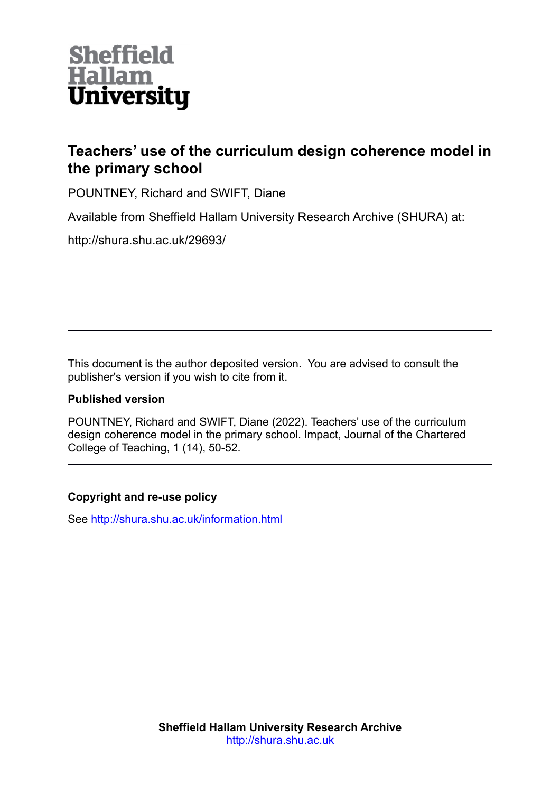

## **Teachers' use of the curriculum design coherence model in the primary school**

POUNTNEY, Richard and SWIFT, Diane

Available from Sheffield Hallam University Research Archive (SHURA) at:

http://shura.shu.ac.uk/29693/

This document is the author deposited version. You are advised to consult the publisher's version if you wish to cite from it.

## **Published version**

POUNTNEY, Richard and SWIFT, Diane (2022). Teachers' use of the curriculum design coherence model in the primary school. Impact, Journal of the Chartered College of Teaching, 1 (14), 50-52.

## **Copyright and re-use policy**

See<http://shura.shu.ac.uk/information.html>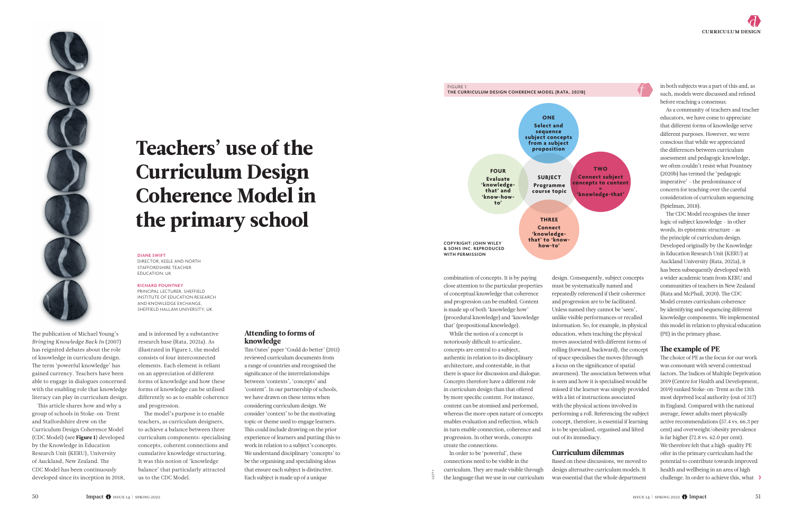

# Teachers' use of the Curriculum Design Coherence Model in the primary school

#### **DIANE SWIFT**

DIRECTOR, KEELE AND NORTH STAFFORDSHIRE TEACHER EDUCATION, UK

#### **RICHARD POUNTNEY**

PRINCIPAL LECTURER, SHEFFIELD INSTITUTE OF EDUCATION RESEARCH AND KNOWLEDGE EXCHANGE, SHEFFIELD HALLAM UNIVERSITY, UK



The publication of Michael Young's *Bringing Knowledge Back In* (2007) has reignited debates about the role of knowledge in curriculum design. The term 'powerful knowledge' has gained currency. Teachers have been able to engage in dialogues concerned with the enabling role that knowledge literacy can play in curriculum design.

This article shares how and why a group of schools in Stoke-on-Trent and Staffordshire drew on the Curriculum Design Coherence Model (CDC Model) (see Figure 1) developed by the Knowledge in Education Research Unit (KERU), University of Auckland, New Zealand. The CDC Model has been continuously developed since its inception in 2018, and is informed by a substantive research base (Rata, 2021a). As illustrated in Figure 1, the model consists of four interconnected elements. Each element is reliant on an appreciation of different forms of knowledge and how these forms of knowledge can be utilised differently so as to enable coherence and progression.

The model's purpose is to enable teachers, as curriculum designers, to achieve a balance between three curriculum components: specialising concepts, coherent connections and cumulative knowledge structuring. It was this notion of 'knowledge balance' that particularly attracted us to the CDC Model.

#### Attending to forms of knowledge

Tim Oates' paper 'Could do better' (2011) reviewed curriculum documents from a range of countries and recognised the significance of the interrelationships between 'contexts', 'concepts' and 'content'. In our partnership of schools, we have drawn on these terms when considering curriculum design. We consider 'context' to be the motivating topic or theme used to engage learners. This could include drawing on the prior experience of learners and putting this to work in relation to a subject's concepts. We understand disciplinary 'concepts' to be the organising and specialising ideas that ensure each subject is distinctive. Each subject is made up of a unique

Impact GETTY of the language that we use in our curriculum was essential that the whole department<br>
Impact Get issue 14 | spring 2022 GETTY IMPACT CHE COC Model.<br>
Impact GETTY issue 14 | spring 2022 GETTY IMPACT CHE COC Mo Based on these discussions, we moved to design alternative curriculum models. It was essential that the whole department

combination of concepts. It is by paying close attention to the particular properties of conceptual knowledge that coherence and progression can be enabled. Content is made up of both 'knowledge how' (procedural knowledge) and 'knowledge that' (propositional knowledge).

> The choice of PE as the focus for our work was consonant with several contextual factors. The Indices of Multiple Deprivation 2019 (Centre for Health and Development, 2019) ranked Stoke-on-Trent as the 13th most deprived local authority (out of 317) in England. Compared with the national average, fewer adults meet physically active recommendations (57.4 vs. 66.3 per cent) and overweight/obesity prevalence is far higher (72.8 vs. 62.0 per cent). We therefore felt that a high-quality PE offer in the primary curriculum had the potential to contribute towards improved health and wellbeing in an area of high challenge. In order to achieve this, what  $\rightarrow$

While the notion of a concept is notoriously difficult to articulate, concepts are central to a subject, authentic in relation to its disciplinary architecture, and contestable, in that there is space for discussion and dialogue. Concepts therefore have a different role in curriculum design than that offered by more specific content. For instance, content can be atomised and performed, whereas the more open nature of concepts enables evaluation and reflection, which in turn enable connection, coherence and progression. In other words, concepts create the connections.

In order to be 'powerful', these connections need to be visible in the curriculum. They are made visible through the language that we use in our curriculum

design. Consequently, subject concepts must be systematically named and repeatedly referenced if their coherence and progression are to be facilitated. Unless named they cannot be 'seen', unlike visible performances or recalled information. So, for example, in physical education, when teaching the physical moves associated with different forms of rolling (forward, backward), the concept of space specialises the moves (through a focus on the significance of spatial awareness). The association between what is seen and how it is specialised would be missed if the learner was simply provided with a list of instructions associated with the physical actions involved in performing a roll. Referencing the subject concept, therefore, is essential if learning is to be specialised, organised and lifted out of its immediacy.

#### Curriculum dilemmas

in both subjects was a part of this and, as such, models were discussed and refined before reaching a consensus.

As a community of teachers and teacher educators, we have come to appreciate that different forms of knowledge serve different purposes. However, we were conscious that while we appreciated the differences between curriculum assessment and pedagogic knowledge, we often couldn't resist what Pountney (2020b) has termed the 'pedagogic imperative' – the predominance of concern for teaching over the careful consideration of curriculum sequencing (Spielman, 2018).

The CDC Model recognises the inner logic of subject knowledge – in other words, its epistemic structure – as the principle of curriculum design. Developed originally by the Knowledge in Education Research Unit (KERU) at Auckland University (Rata, 2021a), it has been subsequently developed with a wider academic team from KERU and communities of teachers in New Zealand (Rata and McPhail, 2020). The CDC Model creates curriculum coherence by identifying and sequencing different knowledge components. We implemented this model in relation to physical education (PE) in the primary phase.

#### The example of PE

**TWO Connect subject concepts to content = 'knowledge-that'**



FIGURE 1:

**THE CURRICULUM DESIGN COHERENCE MODEL (RATA, 2021B)**

**WITH PERMISSION**